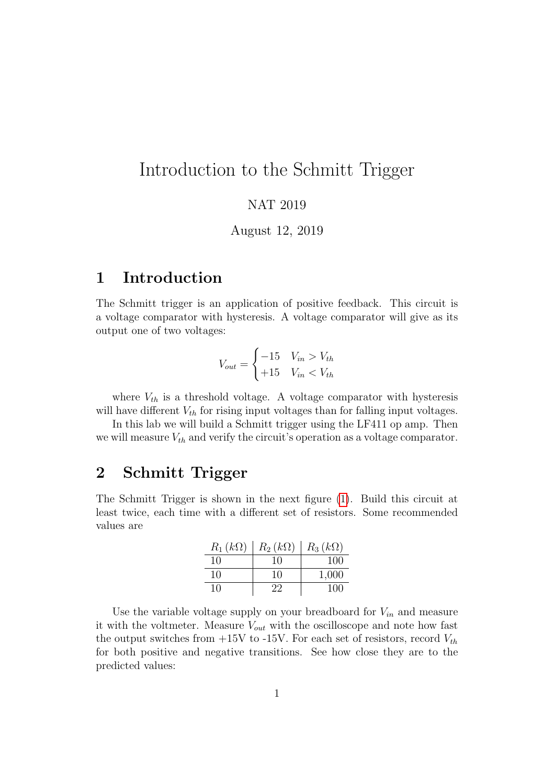# Introduction to the Schmitt Trigger

#### NAT 2019

August 12, 2019

### 1 Introduction

The Schmitt trigger is an application of positive feedback. This circuit is a voltage comparator with hysteresis. A voltage comparator will give as its output one of two voltages:

$$
V_{out} = \begin{cases} -15 & V_{in} > V_{th} \\ +15 & V_{in} < V_{th} \end{cases}
$$

where  $V_{th}$  is a threshold voltage. A voltage comparator with hysteresis will have different  $V_{th}$  for rising input voltages than for falling input voltages.

In this lab we will build a Schmitt trigger using the LF411 op amp. Then we will measure  $V_{th}$  and verify the circuit's operation as a voltage comparator.

#### 2 Schmitt Trigger

The Schmitt Trigger is shown in the next figure [\(1\)](#page-1-0). Build this circuit at least twice, each time with a different set of resistors. Some recommended values are

| $R_1(k\Omega)$ | $R_2(k\Omega)$ | $R_3(k\Omega)$ |
|----------------|----------------|----------------|
| 10             | 10             | 100            |
| 10             | 10             | 1,000          |
| 10             | 22             | 100            |

Use the variable voltage supply on your breadboard for  $V_{in}$  and measure it with the voltmeter. Measure  $V_{out}$  with the oscilloscope and note how fast the output switches from  $+15V$  to -15V. For each set of resistors, record  $V_{th}$ for both positive and negative transitions. See how close they are to the predicted values: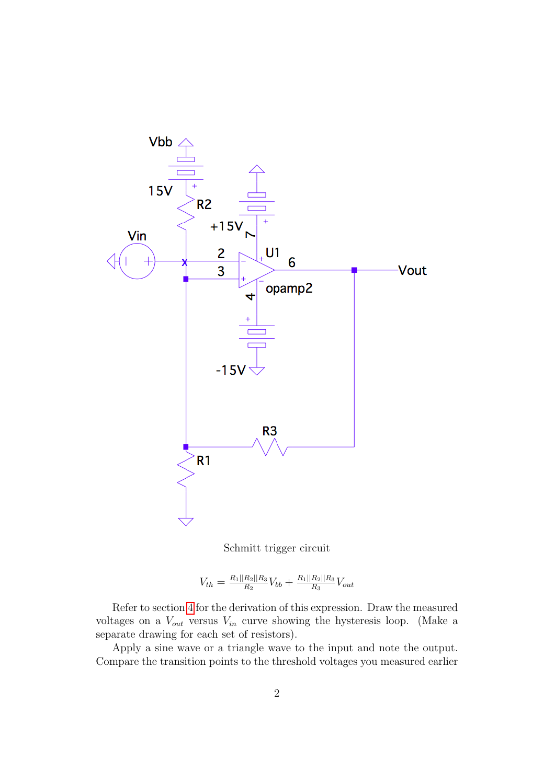<span id="page-1-0"></span>

Schmitt trigger circuit

$$
V_{th} = \frac{R_1||R_2||R_3}{R_2}V_{bb} + \frac{R_1||R_2||R_3}{R_3}V_{out}
$$

Refer to section [4](#page-2-0) for the derivation of this expression. Draw the measured voltages on a  $V_{out}$  versus  $V_{in}$  curve showing the hysteresis loop. (Make a separate drawing for each set of resistors).

Apply a sine wave or a triangle wave to the input and note the output. Compare the transition points to the threshold voltages you measured earlier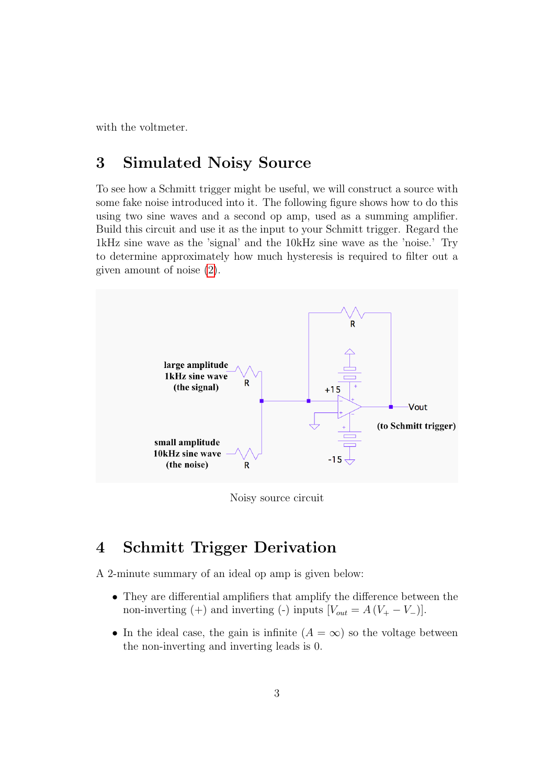with the voltmeter.

# 3 Simulated Noisy Source

To see how a Schmitt trigger might be useful, we will construct a source with some fake noise introduced into it. The following figure shows how to do this using two sine waves and a second op amp, used as a summing amplifier. Build this circuit and use it as the input to your Schmitt trigger. Regard the 1kHz sine wave as the 'signal' and the 10kHz sine wave as the 'noise.' Try to determine approximately how much hysteresis is required to filter out a given amount of noise [\(2\)](#page-2-1).

<span id="page-2-1"></span>

Noisy source circuit

# <span id="page-2-0"></span>4 Schmitt Trigger Derivation

A 2-minute summary of an ideal op amp is given below:

- They are differential amplifiers that amplify the difference between the non-inverting (+) and inverting (-) inputs  $[V_{out} = A (V_{+} - V_{-})]$ .
- In the ideal case, the gain is infinite  $(A = \infty)$  so the voltage between the non-inverting and inverting leads is 0.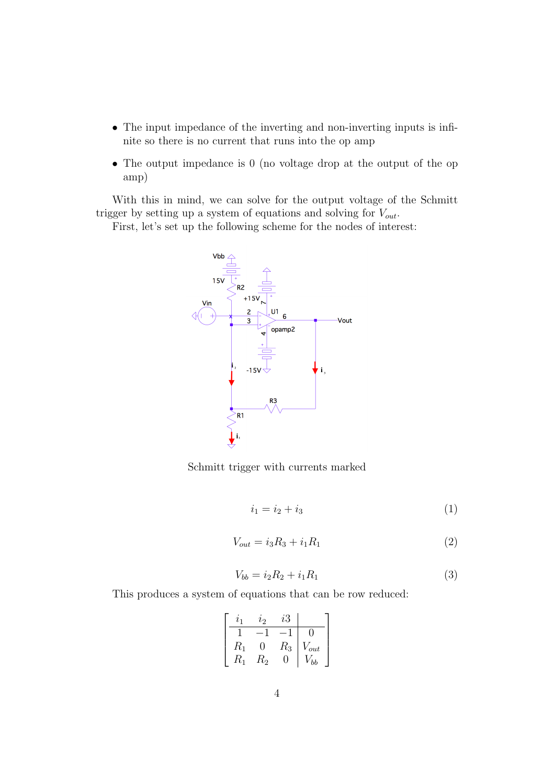- The input impedance of the inverting and non-inverting inputs is infinite so there is no current that runs into the op amp
- The output impedance is 0 (no voltage drop at the output of the op amp)

With this in mind, we can solve for the output voltage of the Schmitt trigger by setting up a system of equations and solving for  $V_{out}$ .

First, let's set up the following scheme for the nodes of interest:



Schmitt trigger with currents marked

$$
i_1 = i_2 + i_3 \tag{1}
$$

$$
V_{out} = i_3 R_3 + i_1 R_1 \tag{2}
$$

$$
V_{bb} = i_2 R_2 + i_1 R_1 \tag{3}
$$

This produces a system of equations that can be row reduced:

|             | l9          | $\iota$ 3 |                |
|-------------|-------------|-----------|----------------|
|             |             |           |                |
| $R_1$       | ( )         | $R_{3}$   | $V_{out}$      |
| $R_{\rm 1}$ | $\rm P_{2}$ | ( )       | b <sup>2</sup> |